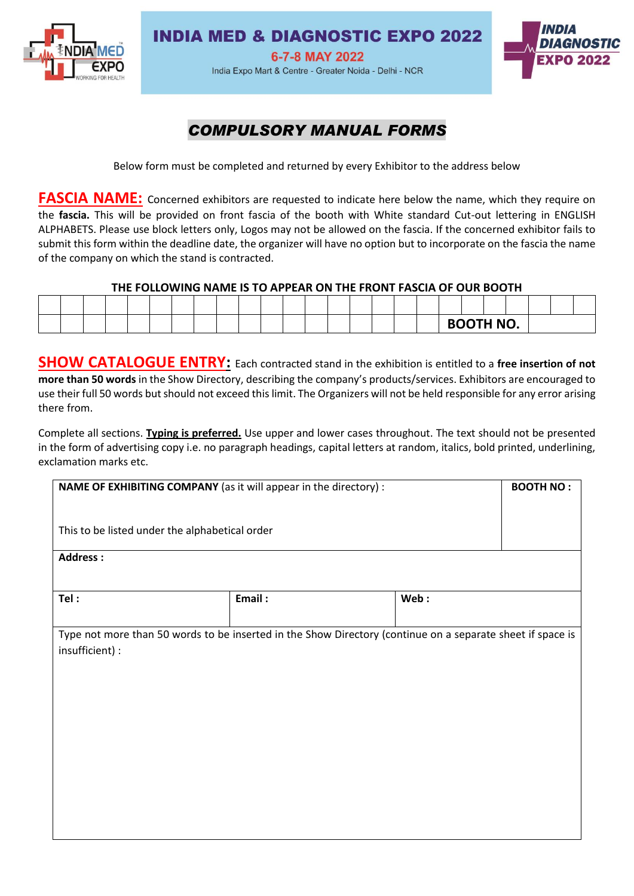

### **INDIA MED & DIAGNOSTIC EXPO 2022**

6-7-8 MAY 2022 India Expo Mart & Centre - Greater Noida - Delhi - NCR



## *COMPULSORY MANUAL FORMS*

Below form must be completed and returned by every Exhibitor to the address below

**FASCIA NAME:** Concerned exhibitors are requested to indicate here below the name, which they require on the **fascia.** This will be provided on front fascia of the booth with White standard Cut-out lettering in ENGLISH ALPHABETS. Please use block letters only, Logos may not be allowed on the fascia. If the concerned exhibitor fails to submit this form within the deadline date, the organizer will have no option but to incorporate on the fascia the name of the company on which the stand is contracted.

#### **THE FOLLOWING NAME IS TO APPEAR ON THE FRONT FASCIA OF OUR BOOTH**

|  |  |  |  |  |  |  |  |  |  | <b>BOOTH NO.</b> |  |  |
|--|--|--|--|--|--|--|--|--|--|------------------|--|--|

**SHOW CATALOGUE ENTRY:** Each contracted stand in the exhibition is entitled to a free insertion of not **more than 50 words** in the Show Directory, describing the company's products/services. Exhibitors are encouraged to use their full 50 words but should not exceed this limit. The Organizers will not be held responsible for any error arising there from.

Complete all sections. **Typing is preferred.** Use upper and lower cases throughout. The text should not be presented in the form of advertising copy i.e. no paragraph headings, capital letters at random, italics, bold printed, underlining, exclamation marks etc.

| NAME OF EXHIBITING COMPANY (as it will appear in the directory) :                                          | <b>BOOTH NO:</b> |  |  |  |  |  |  |  |  |
|------------------------------------------------------------------------------------------------------------|------------------|--|--|--|--|--|--|--|--|
| This to be listed under the alphabetical order                                                             |                  |  |  |  |  |  |  |  |  |
| <b>Address:</b>                                                                                            |                  |  |  |  |  |  |  |  |  |
| Email:<br>Tel:<br>Web:                                                                                     |                  |  |  |  |  |  |  |  |  |
| Type not more than 50 words to be inserted in the Show Directory (continue on a separate sheet if space is |                  |  |  |  |  |  |  |  |  |
| insufficient) :                                                                                            |                  |  |  |  |  |  |  |  |  |
|                                                                                                            |                  |  |  |  |  |  |  |  |  |
|                                                                                                            |                  |  |  |  |  |  |  |  |  |
|                                                                                                            |                  |  |  |  |  |  |  |  |  |
|                                                                                                            |                  |  |  |  |  |  |  |  |  |
|                                                                                                            |                  |  |  |  |  |  |  |  |  |